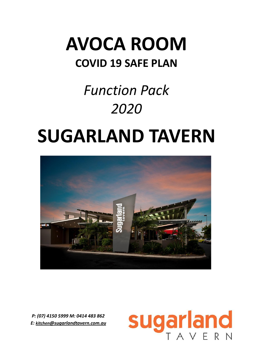## **AVOCA ROOM COVID 19 SAFE PLAN**

# *Function Pack 2020*

# **SUGARLAND TAVERN**



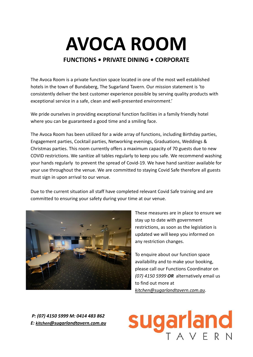# **AVOCA ROOM**

#### **FUNCTIONS • PRIVATE DINING • CORPORATE**

The Avoca Room is a private function space located in one of the most well established hotels in the town of Bundaberg, The Sugarland Tavern. Our mission statement is 'to consistently deliver the best customer experience possible by serving quality products with exceptional service in a safe, clean and well-presented environment.'

We pride ourselves in providing exceptional function facilities in a family friendly hotel where you can be guaranteed a good time and a smiling face.

The Avoca Room has been utilized for a wide array of functions, including Birthday parties, Engagement parties, Cocktail parties, Networking evenings, Graduations, Weddings & Christmas parties. This room currently offers a maximum capacity of 70 guests due to new COVID restrictions. We sanitize all tables regularly to keep you safe. We recommend washing your hands regularly to prevent the spread of Covid-19. We have hand sanitizer available for your use throughout the venue. We are committed to staying Covid Safe therefore all guests must sign in upon arrival to our venue.

Due to the current situation all staff have completed relevant Covid Safe training and are committed to ensuring your safety during your time at our venue.



These measures are in place to ensure we stay up to date with government restrictions, as soon as the legislation is updated we will keep you informed on any restriction changes.

To enquire about our function space availability and to make your booking, please call our Functions Coordinator on *(07) 4150 5999 OR* alternatively email us to find out more at *kitchen@sugarlandtavern.com.au*.

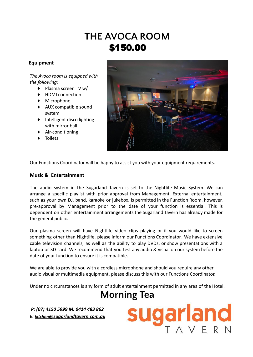## **THE AVOCA ROOM** \$150.00

#### **Equipment**

#### *The Avoca room is equipped with the following:*

- ♦ Plasma screen TV w/
- ♦ HDMI connection
- ♦ Microphone
- ♦ AUX compatible sound system
- ♦ Intelligent disco lighting with mirror ball
- ♦ Air-conditioning
- ♦ Toilets



Our Functions Coordinator will be happy to assist you with your equipment requirements.

#### **Music & Entertainment**

The audio system in the Sugarland Tavern is set to the Nightlife Music System. We can arrange a specific playlist with prior approval from Management. External entertainment, such as your own DJ, band, karaoke or jukebox, is permitted in the Function Room, however, pre-approval by Management prior to the date of your function is essential. This is dependent on other entertainment arrangements the Sugarland Tavern has already made for the general public.

Our plasma screen will have Nightlife video clips playing or if you would like to screen something other than Nightlife, please inform our Functions Coordinator. We have extensive cable television channels, as well as the ability to play DVDs, or show presentations with a laptop or SD card. We recommend that you test any audio & visual on our system before the date of your function to ensure it is compatible.

We are able to provide you with a cordless microphone and should you require any other audio visual or multimedia equipment, please discuss this with our Functions Coordinator.

Under no circumstances is any form of adult entertainment permitted in any area of the Hotel.

## **Morning Tea**

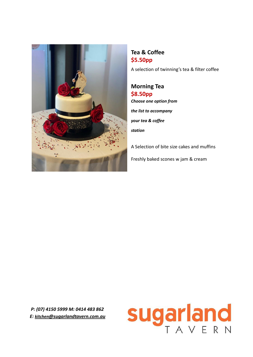

**Tea & Coffee \$5.50pp**

A selection of twinning's tea & filter coffee

**Morning Tea \$8.50pp** *Choose one option from the list to accompany your tea & coffee station*

A Selection of bite size cakes and muffins Freshly baked scones w jam & cream

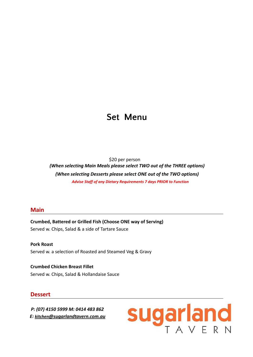## **Set Menu**

\$20 per person

*(When selecting Main Meals please select TWO out of the THREE options) (When selecting Desserts please select ONE out of the TWO options) Advise Staff of any Dietary Requirements 7 days PRIOR to Function*

#### **Main**

**Crumbed, Battered or Grilled Fish (Choose ONE way of Serving)** Served w. Chips, Salad & a side of Tartare Sauce

**Pork Roast** Served w. a selection of Roasted and Steamed Veg & Gravy

**Crumbed Chicken Breast Fillet** Served w. Chips, Salad & Hollandaise Sauce

#### **Dessert**

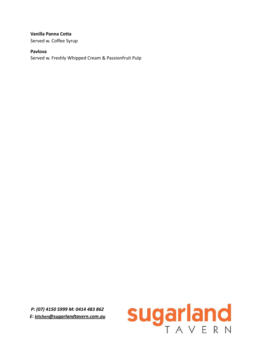#### **Vanilla Panna Cotta**

Served w. Coffee Syrup

#### **Pavlova**

Served w. Freshly Whipped Cream & Passionfruit Pulp

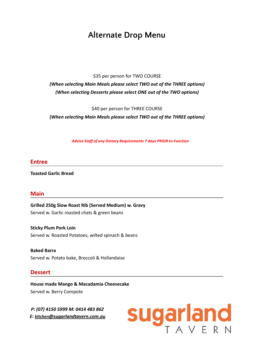## **Alternate Drop Menu**

\$35 per person for TWO COURSE

*(When selecting Main Meals please select TWO out of the THREE options) (When selecting Desserts please select ONE out of the TWO options)*

\$40 per person for THREE COURSE

*(When selecting Main Meals please select TWO out of the THREE options)*

*Advise Staff of any Dietary Requirements 7 days PRIOR to Function*

#### **Entree**

**Toasted Garlic Bread**

#### **Main**

**Grilled 250g Slow Roast Rib (Served Medium) w. Gravy** Served w. Garlic roasted chats & green beans

**Sticky Plum Pork Loin** Served w. Roasted Potatoes, wilted spinach & beans

**Baked Barra** Served w. Potato bake, Broccoli & Hollandaise

#### **Dessert**

**House made Mango & Macadamia Cheesecake** Served w. Berry Compote

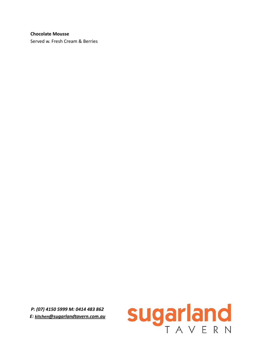#### **Chocolate Mousse**

Served w. Fresh Cream & Berries

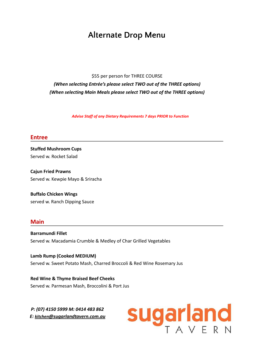## **Alternate Drop Menu**

\$55 per person for THREE COURSE

*(When selecting Entrée's please select TWO out of the THREE options) (When selecting Main Meals please select TWO out of the THREE options)*

*Advise Staff of any Dietary Requirements 7 days PRIOR to Function*

#### **Entree**

**Stuffed Mushroom Cups** Served w. Rocket Salad

**Cajun Fried Prawns** Served w. Kewpie Mayo & Sriracha

**Buffalo Chicken Wings** served w. Ranch Dipping Sauce

#### **Main**

**Barramundi Fillet** Served w. Macadamia Crumble & Medley of Char Grilled Vegetables

**Lamb Rump (Cooked MEDIUM)** Served w. Sweet Potato Mash, Charred Broccoli & Red Wine Rosemary Jus

**Red Wine & Thyme Braised Beef Cheeks** Served w. Parmesan Mash, Broccolini & Port Jus

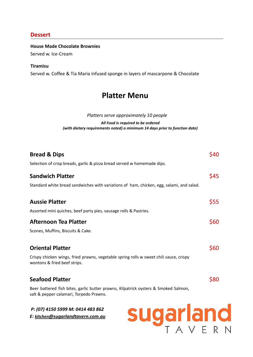#### **Dessert**

**House Made Chocolate Brownies**

Served w. Ice-Cream

#### **Tiramisu**

Served w. Coffee & Tia Maria infused sponge in layers of mascarpone & Chocolate

## **Platter Menu**

*Platters serve approximately 10 people*

*All Food is required to be ordered (with dietary requirements noted) a minimum 14 days prior to function date)*

| <b>Bread &amp; Dips</b>                                                                                                        | \$40 |
|--------------------------------------------------------------------------------------------------------------------------------|------|
| Selection of crisp breads, garlic & pizza bread served w homemade dips.                                                        |      |
| <b>Sandwich Platter</b>                                                                                                        | \$45 |
| Standard white bread sandwiches with variations of ham, chicken, egg, salami, and salad.                                       |      |
| <b>Aussie Platter</b>                                                                                                          | \$55 |
| Assorted mini quiches, beef party pies, sausage rolls & Pastries.                                                              |      |
| <b>Afternoon Tea Platter</b>                                                                                                   | \$60 |
| Scones, Muffins, Biscuits & Cake.                                                                                              |      |
| <b>Oriental Platter</b>                                                                                                        | \$60 |
| Crispy chicken wings, fried prawns, vegetable spring rolls w sweet chili sauce, crispy<br>wontons & fried beef strips.         |      |
| <b>Seafood Platter</b>                                                                                                         | \$80 |
| Beer battered fish bites, garlic butter prawns, Kilpatrick oysters & Smoked Salmon,<br>salt & pepper calamari, Torpedo Prawns. |      |
| P: (07) 4150 5999 M: 0414 483 862                                                                                              |      |

*E: kitchen[@sugarlandtavern.com.au](mailto:kitchen@sugarlandtavern.com.au)*

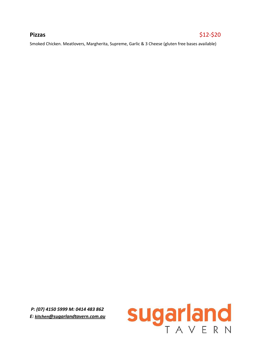#### **Pizzas**  $\frac{1}{2}$  **Pizzas**  $\frac{1}{2}$  **Pizzas**  $\frac{1}{2}$  **Pizzas**  $\frac{1}{2}$  **Pizzas**  $\frac{1}{2}$  **Pizzas**  $\frac{1}{2}$  **Pizzas**  $\frac{1}{2}$  **Pizzas**  $\frac{1}{2}$  **Pizzas**  $\frac{1}{2}$  **Pizzas**  $\frac{1}{2}$  **Pizzas**  $\frac{1}{2}$  **Pizzas**  $\frac{$

Smoked Chicken. Meatlovers, Margherita, Supreme, Garlic & 3 Cheese (gluten free bases available)

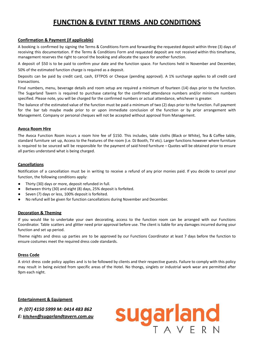### **FUNCTION & EVENT TERMS AND CONDITIONS**

#### **Confirmation & Payment (if applicable)**

A booking is confirmed by signing the Terms & Conditions Form and forwarding the requested deposit within three (3) days of receiving this documentation. If the Terms & Conditions Form and requested deposit are not received within this timeframe, management reserves the right to cancel the booking and allocate the space for another function.

A deposit of \$50 is to be paid to confirm your date and the function space. For functions held in November and December,

50% of the estimated function charge is required as a deposit.

Deposits can be paid by credit card, cash, EFTPOS or Cheque (pending approval). A 1% surcharge applies to all credit card transactions.

Final numbers, menu, beverage details and room setup are required a minimum of fourteen (14) days prior to the function. The Sugarland Tavern is required to purchase catering for the confirmed attendance numbers and/or minimum numbers specified. Please note, you will be charged for the confirmed numbers or actual attendance, whichever is greater.

The balance of the estimated value of the function must be paid a minimum of two (2) days prior to the function. Full payment for the bar tab maybe made prior to or upon immediate conclusion of the function or by prior arrangement with Management. Company or personal cheques will not be accepted without approval from Management.

#### **Avoca Room Hire**

The Avoca Function Room incurs a room hire fee of \$150. This includes, table cloths (Black or White), Tea & Coffee table, standard furniture set up, Access to the Features of the room (i.e. DJ Booth, TV etc). Larger functions however where furniture is required to be sourced will be responsible for the payment of said hired furniture – Quotes will be obtained prior to ensure all parties understand what is being charged.

#### **Cancellations**

Notification of a cancellation must be in writing to receive a refund of any prior monies paid. If you decide to cancel your function, the following conditions apply:

- Thirty (30) days or more, deposit refunded in full.
- Between thirty (30) and eight (8) days, 25% deposit is forfeited.
- Seven (7) days or less, 100% deposit is forfeited.
- No refund will be given for function cancellations during November and December.

#### **Decoration & Theming**

If you would like to undertake your own decorating, access to the function room can be arranged with our Functions Coordinator. Table scatters and glitter need prior approval before use. The client is liable for any damages incurred during your function and set up period.

Theme nights and dress up parties are to be approved by our Functions Coordinator at least 7 days before the function to ensure costumes meet the required dress code standards.

#### **Dress Code**

A strict dress code policy applies and is to be followed by clients and their respective guests. Failure to comply with this policy may result in being evicted from specific areas of the Hotel. No thongs, singlets or industrial work wear are permitted after 9pm each night.

**Entertainment & Equipment**

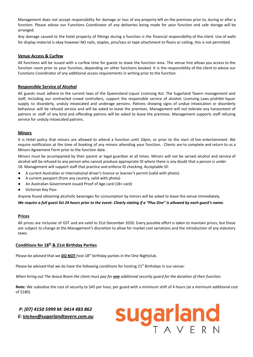Management does not accept responsibility for damage or loss of any property left on the premises prior to, during or after a function. Please advise our Functions Coordinator of any deliveries being made for your function and safe storage will be arranged.

Any damage caused to the hotel property of fittings during a function is the financial responsibility of the client. Use of walls for display material is okay however NO nails, staples, pins/tacs or tape attachment to floors or ceiling, this is not permitted.

#### **Venue Access & Curfew**

All functions will be issued with a curfew time for guests to leave the function area. The venue hire allows you access to the function room prior to your function, depending on other functions booked. It is the responsibility of the client to advise our Functions Coordinator of any additional access requirements in writing prior to the function.

#### **Responsible Service of Alcohol**

All guests must adhere to the current laws of the Queensland Liquor Licensing Act. The Sugarland Tavern management and staff, including our contracted crowd controllers, support the responsible service of alcohol. Licensing Laws prohibit liquor supply to disorderly, unduly intoxicated and underage persons. Patrons showing signs of undue intoxication or disorderly behaviour will be refused service and will be asked to leave the premises. Management will not tolerate any harassment of patrons or staff of any kind and offending patrons will be asked to leave the premises. Management supports staff refusing service for unduly intoxicated patrons.

#### **Minors**

It is Hotel policy that minors are allowed to attend a function until 10pm, or prior to the start of live entertainment. We require notification at the time of booking of any minors attending your function. Clients are to complete and return to us a Minors Agreement Form prior to the function date.

Minors must be accompanied by their parent or legal guardian at all times. Minors will not be served alcohol and service of alcohol will be refused to any person who cannot produce appropriate ID where there is any doubt that a person is under 18. Management will support staff that practice and enforce ID checking. Acceptable ID:

- A current Australian or International driver's licence or learner's permit (valid with photo)
- A current passport (from any country, valid with photo)
- An Australian Government issued Proof of Age card (18+ card)
- **Victorian Key Pass**

Anyone found obtaining alcoholic beverages for consumption by minors will be asked to leave the venue immediately.

#### *We require a full guest list 24 hours prior to the event. Clearly stating if a "Plus One" is allowed by each guest's name.*

#### **Prices**

All prices are inclusive of GST and are valid to 31st December 2020. Every possible effort is taken to maintain prices, but these are subject to change at the Management's discretion to allow for market cost variations and the introduction of any statutory taxes.

#### **Conditions for 18th & 21st Birthday Parties**

Please be advised that we **DO NOT** host 18<sup>th</sup> birthday parties in the One Nightclub.

Please be advised that we do have the following conditions for hosting  $21^{st}$  Birthdays in our venue:

*When hiring out The Avoca Room the client must pay for one additional security guard for the duration of their function.*

**Note:** We subsidise the cost of security to \$45 per hour, per guard with a minimum shift of 4 hours (at a minimum additional cost of \$180).

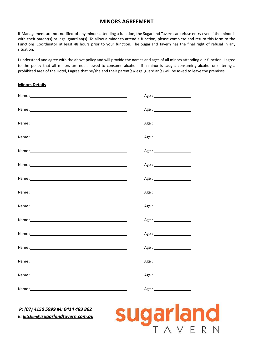#### **MINORS AGREEMENT**

If Management are not notified of any minors attending a function, the Sugarland Tavern can refuse entry even if the minor is with their parent(s) or legal guardian(s). To allow a minor to attend a function, please complete and return this form to the Functions Coordinator at least 48 hours prior to your function. The Sugarland Tavern has the final right of refusal in any situation.

I understand and agree with the above policy and will provide the names and ages of all minors attending our function. I agree to the policy that all minors are not allowed to consume alcohol. If a minor is caught consuming alcohol or entering a prohibited area of the Hotel, I agree that he/she and their parent(s)/legal guardian(s) will be asked to leave the premises.

#### **Minors Details**

|                                                                                                                                                                                                                               | Age:                           |
|-------------------------------------------------------------------------------------------------------------------------------------------------------------------------------------------------------------------------------|--------------------------------|
|                                                                                                                                                                                                                               | Age : ________________________ |
|                                                                                                                                                                                                                               | Age : _______________________  |
|                                                                                                                                                                                                                               | Age : _______________________  |
|                                                                                                                                                                                                                               |                                |
|                                                                                                                                                                                                                               |                                |
| Name: Name and the second contract of the second contract of the second contract of the second contract of the second contract of the second contract of the second contract of the second contract of the second contract of |                                |
| Name: Name and the second contract of the second contract of the second contract of the second contract of the second contract of the second contract of the second contract of the second contract of the second contract of | Age : ________________________ |
|                                                                                                                                                                                                                               |                                |
| Name: state and the state of the state of the state of the state of the state of the state of the state of the                                                                                                                |                                |
| Name: Name and the second contract of the second contract of the second contract of the second contract of the second contract of the second contract of the second contract of the second contract of the second contract of |                                |
|                                                                                                                                                                                                                               | Age : ________________________ |
|                                                                                                                                                                                                                               |                                |
|                                                                                                                                                                                                                               | Age : ________________________ |
|                                                                                                                                                                                                                               | Age:                           |